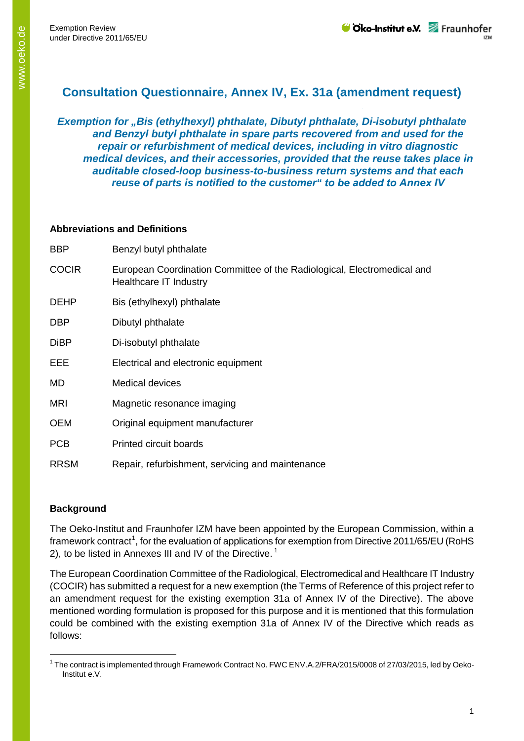# **Consultation Questionnaire, Annex IV, Ex. 31a (amendment request)**

*Exemption for "Bis (ethylhexyl) phthalate, Dibutyl phthalate, Di-isobutyl phthalate and Benzyl butyl phthalate in spare parts recovered from and used for the repair or refurbishment of medical devices, including in vitro diagnostic medical devices, and their accessories, provided that the reuse takes place in auditable closed-loop business-to-business return systems and that each reuse of parts is notified to the customer" to be added to Annex IV*

## **Abbreviations and Definitions**

| <b>BBP</b>   | Benzyl butyl phthalate                                                                            |
|--------------|---------------------------------------------------------------------------------------------------|
| <b>COCIR</b> | European Coordination Committee of the Radiological, Electromedical and<br>Healthcare IT Industry |
| <b>DEHP</b>  | Bis (ethylhexyl) phthalate                                                                        |
| <b>DBP</b>   | Dibutyl phthalate                                                                                 |
| <b>DiBP</b>  | Di-isobutyl phthalate                                                                             |
| EEE          | Electrical and electronic equipment                                                               |
| MD           | <b>Medical devices</b>                                                                            |
| <b>MRI</b>   | Magnetic resonance imaging                                                                        |
| <b>OEM</b>   | Original equipment manufacturer                                                                   |
| <b>PCB</b>   | Printed circuit boards                                                                            |
| <b>RRSM</b>  | Repair, refurbishment, servicing and maintenance                                                  |

# **Background**

The Oeko-Institut and Fraunhofer IZM have been appointed by the European Commission, within a framework contract<sup>[1](#page-0-0)</sup>, for the evaluation of applications for exemption from Directive 2011/65/EU (RoHS 2), to be listed in Annexes III and IV of the Directive.<sup>1</sup>

The European Coordination Committee of the Radiological, Electromedical and Healthcare IT Industry (COCIR) has submitted a request for a new exemption (the Terms of Reference of this project refer to an amendment request for the existing exemption 31a of Annex IV of the Directive). The above mentioned wording formulation is proposed for this purpose and it is mentioned that this formulation could be combined with the existing exemption 31a of Annex IV of the Directive which reads as follows:

<span id="page-0-0"></span><sup>&</sup>lt;sup>1</sup> The contract is implemented through Framework Contract No. FWC ENV.A.2/FRA/2015/0008 of 27/03/2015, led by Oeko-Institut e.V.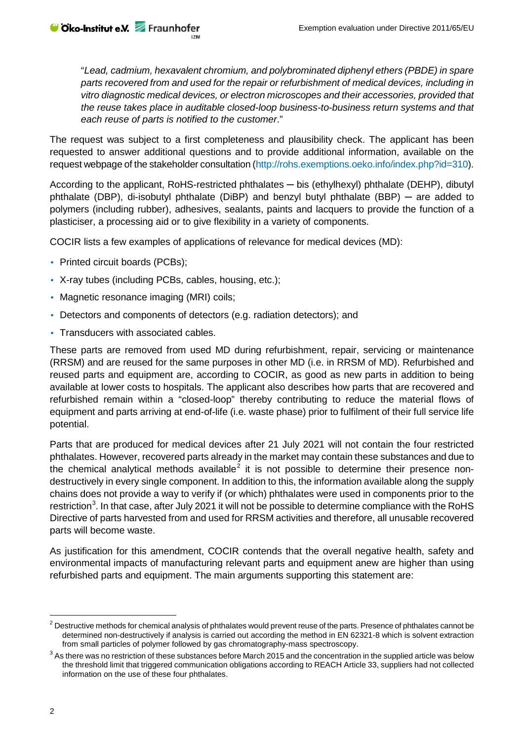"*Lead, cadmium, hexavalent chromium, and polybrominated diphenyl ethers (PBDE) in spare parts recovered from and used for the repair or refurbishment of medical devices, including in vitro diagnostic medical devices, or electron microscopes and their accessories, provided that the reuse takes place in auditable closed-loop business-to-business return systems and that each reuse of parts is notified to the customer*."

The request was subject to a first completeness and plausibility check. The applicant has been requested to answer additional questions and to provide additional information, available on the request webpage of the stakeholder consultation (http://rohs.exemptions.oeko.info/index.php?id=310).

According to the applicant, RoHS-restricted phthalates — bis (ethylhexyl) phthalate (DEHP), dibutyl phthalate (DBP), di-isobutyl phthalate (DiBP) and benzyl butyl phthalate (BBP) ─ are added to polymers (including rubber), adhesives, sealants, paints and lacquers to provide the function of a plasticiser, a processing aid or to give flexibility in a variety of components.

COCIR lists a few examples of applications of relevance for medical devices (MD):

Printed circuit boards (PCBs);

**⊎ Oko-Institut e.V.** Fraunhofer

- X-ray tubes (including PCBs, cables, housing, etc.);
- Magnetic resonance imaging (MRI) coils;
- Detectors and components of detectors (e.g. radiation detectors); and
- Transducers with associated cables.

These parts are removed from used MD during refurbishment, repair, servicing or maintenance (RRSM) and are reused for the same purposes in other MD (i.e. in RRSM of MD). Refurbished and reused parts and equipment are, according to COCIR, as good as new parts in addition to being available at lower costs to hospitals. The applicant also describes how parts that are recovered and refurbished remain within a "closed-loop" thereby contributing to reduce the material flows of equipment and parts arriving at end-of-life (i.e. waste phase) prior to fulfilment of their full service life potential.

Parts that are produced for medical devices after 21 July 2021 will not contain the four restricted phthalates. However, recovered parts already in the market may contain these substances and due to the chemical analytical methods available<sup>[2](#page-1-0)</sup> it is not possible to determine their presence nondestructively in every single component. In addition to this, the information available along the supply chains does not provide a way to verify if (or which) phthalates were used in components prior to the restriction<sup>[3](#page-1-1)</sup>. In that case, after July 2021 it will not be possible to determine compliance with the RoHS Directive of parts harvested from and used for RRSM activities and therefore, all unusable recovered parts will become waste.

As justification for this amendment, COCIR contends that the overall negative health, safety and environmental impacts of manufacturing relevant parts and equipment anew are higher than using refurbished parts and equipment. The main arguments supporting this statement are:

<span id="page-1-0"></span><sup>&</sup>lt;sup>2</sup> Destructive methods for chemical analysis of phthalates would prevent reuse of the parts. Presence of phthalates cannot be determined non-destructively if analysis is carried out according the method in EN 62321-8 which is solvent extraction from small particles of polymer followed by gas chromatography-mass spectroscopy.

<span id="page-1-1"></span> $3$  As there was no restriction of these substances before March 2015 and the concentration in the supplied article was below the threshold limit that triggered communication obligations according to REACH Article 33, suppliers had not collected information on the use of these four phthalates.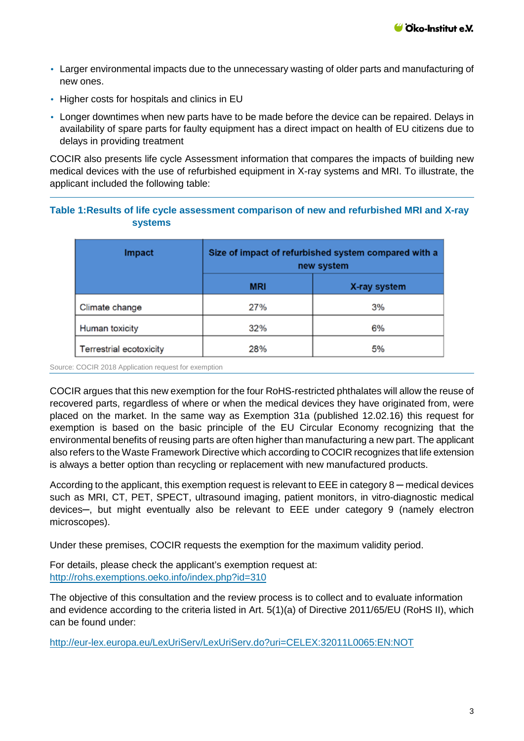- Larger environmental impacts due to the unnecessary wasting of older parts and manufacturing of new ones.
- Higher costs for hospitals and clinics in EU
- Longer downtimes when new parts have to be made before the device can be repaired. Delays in availability of spare parts for faulty equipment has a direct impact on health of EU citizens due to delays in providing treatment

COCIR also presents life cycle Assessment information that compares the impacts of building new medical devices with the use of refurbished equipment in X-ray systems and MRI. To illustrate, the applicant included the following table:

## **Table 1:Results of life cycle assessment comparison of new and refurbished MRI and X-ray systems**

| Impact                  | Size of impact of refurbished system compared with a<br>new system |              |
|-------------------------|--------------------------------------------------------------------|--------------|
|                         | <b>MRI</b>                                                         | X-ray system |
| Climate change          | 27%                                                                | 3%           |
| Human toxicity          | 32%                                                                | 6%           |
| Terrestrial ecotoxicity | 28%                                                                | 5%           |

Source: COCIR 2018 Application request for exemption

COCIR argues that this new exemption for the four RoHS-restricted phthalates will allow the reuse of recovered parts, regardless of where or when the medical devices they have originated from, were placed on the market. In the same way as Exemption 31a (published 12.02.16) this request for exemption is based on the basic principle of the EU Circular Economy recognizing that the environmental benefits of reusing parts are often higher than manufacturing a new part. The applicant also refers to the Waste Framework Directive which according to COCIR recognizes that life extension is always a better option than recycling or replacement with new manufactured products.

According to the applicant, this exemption request is relevant to EEE in category 8 – medical devices such as MRI, CT, PET, SPECT, ultrasound imaging, patient monitors, in vitro-diagnostic medical devices─, but might eventually also be relevant to EEE under category 9 (namely electron microscopes).

Under these premises, COCIR requests the exemption for the maximum validity period.

For details, please check the applicant's exemption request at: <http://rohs.exemptions.oeko.info/index.php?id=310>

The objective of this consultation and the review process is to collect and to evaluate information and evidence according to the criteria listed in Art. 5(1)(a) of Directive 2011/65/EU (RoHS II), which can be found under:

<http://eur-lex.europa.eu/LexUriServ/LexUriServ.do?uri=CELEX:32011L0065:EN:NOT>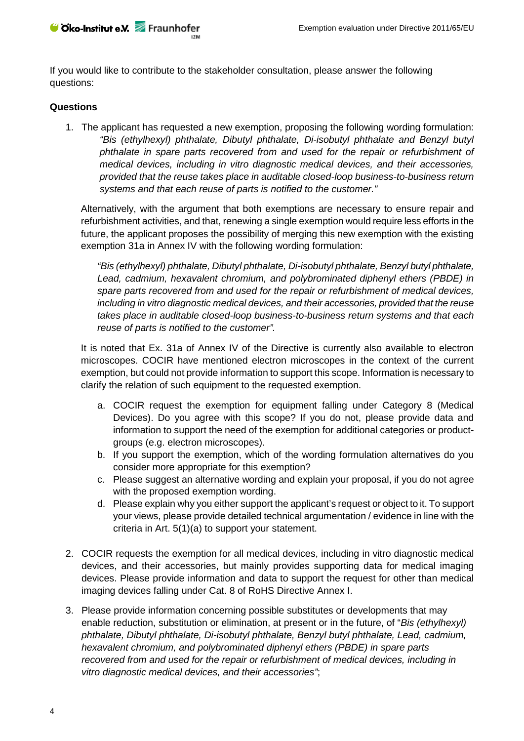

If you would like to contribute to the stakeholder consultation, please answer the following questions:

#### **Questions**

1. The applicant has requested a new exemption, proposing the following wording formulation: *"Bis (ethylhexyl) phthalate, Dibutyl phthalate, Di-isobutyl phthalate and Benzyl butyl phthalate in spare parts recovered from and used for the repair or refurbishment of medical devices, including in vitro diagnostic medical devices, and their accessories, provided that the reuse takes place in auditable closed-loop business-to-business return systems and that each reuse of parts is notified to the customer."*

Alternatively, with the argument that both exemptions are necessary to ensure repair and refurbishment activities, and that, renewing a single exemption would require less efforts in the future, the applicant proposes the possibility of merging this new exemption with the existing exemption 31a in Annex IV with the following wording formulation:

*"Bis (ethylhexyl) phthalate, Dibutyl phthalate, Di-isobutyl phthalate, Benzyl butyl phthalate, Lead, cadmium, hexavalent chromium, and polybrominated diphenyl ethers (PBDE) in spare parts recovered from and used for the repair or refurbishment of medical devices, including in vitro diagnostic medical devices, and their accessories, provided that the reuse takes place in auditable closed-loop business-to-business return systems and that each reuse of parts is notified to the customer".*

It is noted that Ex. 31a of Annex IV of the Directive is currently also available to electron microscopes. COCIR have mentioned electron microscopes in the context of the current exemption, but could not provide information to support this scope. Information is necessary to clarify the relation of such equipment to the requested exemption.

- a. COCIR request the exemption for equipment falling under Category 8 (Medical Devices). Do you agree with this scope? If you do not, please provide data and information to support the need of the exemption for additional categories or productgroups (e.g. electron microscopes).
- b. If you support the exemption, which of the wording formulation alternatives do you consider more appropriate for this exemption?
- c. Please suggest an alternative wording and explain your proposal, if you do not agree with the proposed exemption wording.
- d. Please explain why you either support the applicant's request or object to it. To support your views, please provide detailed technical argumentation / evidence in line with the criteria in Art. 5(1)(a) to support your statement.
- 2. COCIR requests the exemption for all medical devices, including in vitro diagnostic medical devices, and their accessories, but mainly provides supporting data for medical imaging devices. Please provide information and data to support the request for other than medical imaging devices falling under Cat. 8 of RoHS Directive Annex I.
- 3. Please provide information concerning possible substitutes or developments that may enable reduction, substitution or elimination, at present or in the future, of "*Bis (ethylhexyl) phthalate, Dibutyl phthalate, Di-isobutyl phthalate, Benzyl butyl phthalate, Lead, cadmium, hexavalent chromium, and polybrominated diphenyl ethers (PBDE) in spare parts recovered from and used for the repair or refurbishment of medical devices, including in vitro diagnostic medical devices, and their accessories"*;